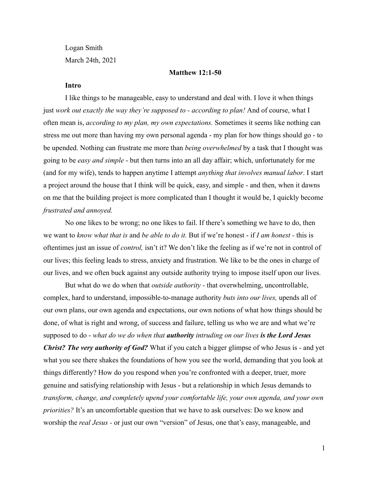Logan Smith March 24th, 2021

# **Matthew 12:1-50**

## **Intro**

I like things to be manageable, easy to understand and deal with. I love it when things just *work out exactly the way they're supposed to - according to plan!* And of course, what I often mean is, *according to my plan, my own expectations.* Sometimes it seems like nothing can stress me out more than having my own personal agenda - my plan for how things should go - to be upended. Nothing can frustrate me more than *being overwhelmed* by a task that I thought was going to be *easy and simple* - but then turns into an all day affair; which, unfortunately for me (and for my wife), tends to happen anytime I attempt *anything that involves manual labor*. I start a project around the house that I think will be quick, easy, and simple - and then, when it dawns on me that the building project is more complicated than I thought it would be, I quickly become *frustrated and annoyed.*

No one likes to be wrong; no one likes to fail. If there's something we have to do, then we want to *know what that is* and *be able to do it.* But if we're honest - if *I am honest -* this is oftentimes just an issue of *control,* isn't it? We don't like the feeling as if we're not in control of our lives; this feeling leads to stress, anxiety and frustration. We like to be the ones in charge of our lives, and we often buck against any outside authority trying to impose itself upon our lives.

But what do we do when that *outside authority -* that overwhelming, uncontrollable, complex, hard to understand, impossible-to-manage authority *buts into our lives,* upends all of our own plans, our own agenda and expectations, our own notions of what how things should be done, of what is right and wrong, of success and failure, telling us who we are and what we're supposed to do - *what do we do when that authority intruding on our lives is the Lord Jesus Christ? The very authority of God?* What if you catch a bigger glimpse of who Jesus is - and yet what you see there shakes the foundations of how you see the world, demanding that you look at things differently? How do you respond when you're confronted with a deeper, truer, more genuine and satisfying relationship with Jesus - but a relationship in which Jesus demands to *transform, change, and completely upend your comfortable life, your own agenda, and your own priorities?* It's an uncomfortable question that we have to ask ourselves: Do we know and worship the *real Jesus -* or just our own "version" of Jesus, one that's easy, manageable, and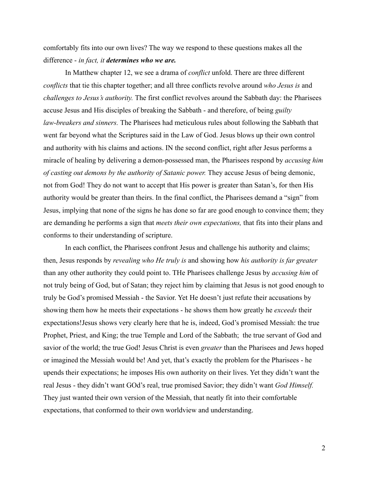comfortably fits into our own lives? The way we respond to these questions makes all the difference - *in fact, it determines who we are.*

In Matthew chapter 12, we see a drama of *conflict* unfold. There are three different *conflicts* that tie this chapter together; and all three conflicts revolve around *who Jesus is* and *challenges to Jesus's authority.* The first conflict revolves around the Sabbath day: the Pharisees accuse Jesus and His disciples of breaking the Sabbath - and therefore, of being *guilty law-breakers and sinners.* The Pharisees had meticulous rules about following the Sabbath that went far beyond what the Scriptures said in the Law of God. Jesus blows up their own control and authority with his claims and actions. IN the second conflict, right after Jesus performs a miracle of healing by delivering a demon-possessed man, the Pharisees respond by *accusing him of casting out demons by the authority of Satanic power.* They accuse Jesus of being demonic, not from God! They do not want to accept that His power is greater than Satan's, for then His authority would be greater than theirs. In the final conflict, the Pharisees demand a "sign" from Jesus, implying that none of the signs he has done so far are good enough to convince them; they are demanding he performs a sign that *meets their own expectations,* that fits into their plans and conforms to their understanding of scripture.

In each conflict, the Pharisees confront Jesus and challenge his authority and claims; then, Jesus responds by *revealing who He truly is* and showing how *his authority is far greater* than any other authority they could point to. THe Pharisees challenge Jesus by *accusing him* of not truly being of God, but of Satan; they reject him by claiming that Jesus is not good enough to truly be God's promised Messiah - the Savior. Yet He doesn't just refute their accusations by showing them how he meets their expectations - he shows them how greatly he *exceeds* their expectations!Jesus shows very clearly here that he is, indeed, God's promised Messiah: the true Prophet, Priest, and King; the true Temple and Lord of the Sabbath; the true servant of God and savior of the world; the true God! Jesus Christ is even *greater* than the Pharisees and Jews hoped or imagined the Messiah would be! And yet, that's exactly the problem for the Pharisees - he upends their expectations; he imposes His own authority on their lives. Yet they didn't want the real Jesus - they didn't want GOd's real, true promised Savior; they didn't want *God Himself.* They just wanted their own version of the Messiah, that neatly fit into their comfortable expectations, that conformed to their own worldview and understanding.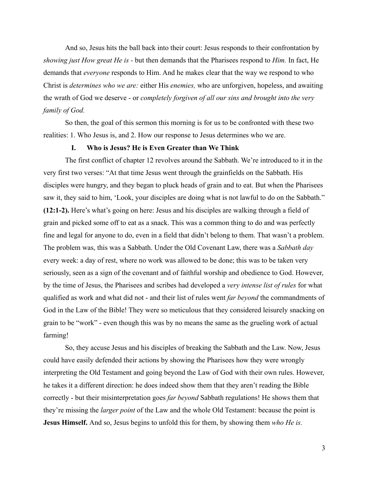And so, Jesus hits the ball back into their court: Jesus responds to their confrontation by *showing just How great He is -* but then demands that the Pharisees respond to *Him.* In fact, He demands that *everyone* responds to Him. And he makes clear that the way we respond to who Christ is *determines who we are:* either His *enemies,* who are unforgiven, hopeless, and awaiting the wrath of God we deserve - or *completely forgiven of all our sins and brought into the very family of God.*

So then, the goal of this sermon this morning is for us to be confronted with these two realities: 1. Who Jesus is, and 2. How our response to Jesus determines who we are.

### **I. Who is Jesus? He is Even Greater than We Think**

The first conflict of chapter 12 revolves around the Sabbath. We're introduced to it in the very first two verses: "At that time Jesus went through the grainfields on the Sabbath. His disciples were hungry, and they began to pluck heads of grain and to eat. But when the Pharisees saw it, they said to him, 'Look, your disciples are doing what is not lawful to do on the Sabbath." **(12:1-2).** Here's what's going on here: Jesus and his disciples are walking through a field of grain and picked some off to eat as a snack. This was a common thing to do and was perfectly fine and legal for anyone to do, even in a field that didn't belong to them. That wasn't a problem. The problem was, this was a Sabbath. Under the Old Covenant Law, there was a *Sabbath day* every week: a day of rest, where no work was allowed to be done; this was to be taken very seriously, seen as a sign of the covenant and of faithful worship and obedience to God. However, by the time of Jesus, the Pharisees and scribes had developed a *very intense list of rules* for what qualified as work and what did not - and their list of rules went *far beyond* the commandments of God in the Law of the Bible! They were so meticulous that they considered leisurely snacking on grain to be "work" - even though this was by no means the same as the grueling work of actual farming!

So, they accuse Jesus and his disciples of breaking the Sabbath and the Law. Now, Jesus could have easily defended their actions by showing the Pharisees how they were wrongly interpreting the Old Testament and going beyond the Law of God with their own rules. However, he takes it a different direction: he does indeed show them that they aren't reading the Bible correctly - but their misinterpretation goes *far beyond* Sabbath regulations! He shows them that they're missing the *larger point* of the Law and the whole Old Testament: because the point is **Jesus Himself.** And so, Jesus begins to unfold this for them, by showing them *who He is.*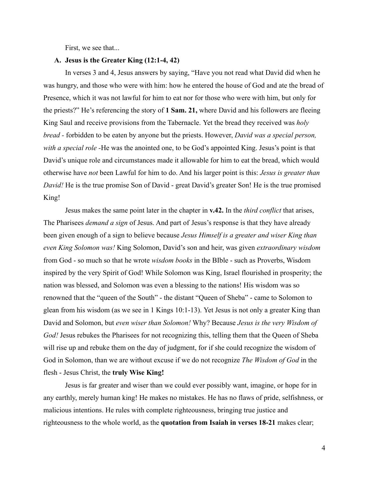First, we see that...

# **A. Jesus is the Greater King (12:1-4, 42)**

In verses 3 and 4, Jesus answers by saying, "Have you not read what David did when he was hungry, and those who were with him: how he entered the house of God and ate the bread of Presence, which it was not lawful for him to eat nor for those who were with him, but only for the priests?" He's referencing the story of **1 Sam. 21,** where David and his followers are fleeing King Saul and receive provisions from the Tabernacle. Yet the bread they received was *holy bread -* forbidden to be eaten by anyone but the priests. However, *David was a special person, with a special role -*He was the anointed one, to be God's appointed King. Jesus's point is that David's unique role and circumstances made it allowable for him to eat the bread, which would otherwise have *not* been Lawful for him to do. And his larger point is this: *Jesus is greater than David!* He is the true promise Son of David - great David's greater Son! He is the true promised King!

Jesus makes the same point later in the chapter in **v.42.** In the *third conflict* that arises, The Pharisees *demand a sign* of Jesus. And part of Jesus's response is that they have already been given enough of a sign to believe because *Jesus Himself is a greater and wiser King than even King Solomon was!* King Solomon, David's son and heir, was given *extraordinary wisdom* from God - so much so that he wrote *wisdom books* in the BIble - such as Proverbs, Wisdom inspired by the very Spirit of God! While Solomon was King, Israel flourished in prosperity; the nation was blessed, and Solomon was even a blessing to the nations! His wisdom was so renowned that the "queen of the South" - the distant "Queen of Sheba" - came to Solomon to glean from his wisdom (as we see in 1 Kings 10:1-13). Yet Jesus is not only a greater King than David and Solomon, but *even wiser than Solomon!* Why? Because *Jesus is the very Wisdom of* God! Jesus rebukes the Pharisees for not recognizing this, telling them that the Queen of Sheba will rise up and rebuke them on the day of judgment, for if she could recognize the wisdom of God in Solomon, than we are without excuse if we do not recognize *The Wisdom of God* in the flesh - Jesus Christ, the **truly Wise King!**

Jesus is far greater and wiser than we could ever possibly want, imagine, or hope for in any earthly, merely human king! He makes no mistakes. He has no flaws of pride, selfishness, or malicious intentions. He rules with complete righteousness, bringing true justice and righteousness to the whole world, as the **quotation from Isaiah in verses 18-21** makes clear;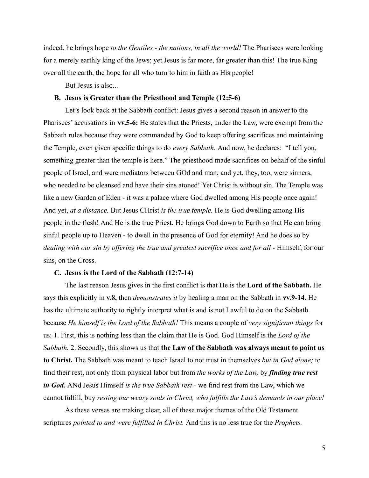indeed, he brings hope *to the Gentiles - the nations, in all the world!* The Pharisees were looking for a merely earthly king of the Jews; yet Jesus is far more, far greater than this! The true King over all the earth, the hope for all who turn to him in faith as His people!

But Jesus is also...

## **B. Jesus is Greater than the Priesthood and Temple (12:5-6)**

Let's look back at the Sabbath conflict: Jesus gives a second reason in answer to the Pharisees' accusations in **vv.5-6:** He states that the Priests, under the Law, were exempt from the Sabbath rules because they were commanded by God to keep offering sacrifices and maintaining the Temple, even given specific things to do *every Sabbath.* And now, he declares: "I tell you, something greater than the temple is here." The priesthood made sacrifices on behalf of the sinful people of Israel, and were mediators between GOd and man; and yet, they, too, were sinners, who needed to be cleansed and have their sins atoned! Yet Christ is without sin. The Temple was like a new Garden of Eden - it was a palace where God dwelled among His people once again! And yet, *at a distance.* But Jesus CHrist *is the true temple.* He is God dwelling among His people in the flesh! And He is the true Priest. He brings God down to Earth so that He can bring sinful people up to Heaven - to dwell in the presence of God for eternity! And he does so by *dealing with our sin by offering the true and greatest sacrifice once and for all -* Himself, for our sins, on the Cross.

## **C. Jesus is the Lord of the Sabbath (12:7-14)**

The last reason Jesus gives in the first conflict is that He is the **Lord of the Sabbath.** He says this explicitly in **v.8,** then *demonstrates it* by healing a man on the Sabbath in **vv.9-14.** He has the ultimate authority to rightly interpret what is and is not Lawful to do on the Sabbath because *He himself is the Lord of the Sabbath!* This means a couple of *very significant things* for us: 1. First, this is nothing less than the claim that He is God. God Himself is the *Lord of the Sabbath.* 2. Secondly, this shows us that **the Law of the Sabbath was always meant to point us to Christ.** The Sabbath was meant to teach Israel to not trust in themselves *but in God alone;* to find their rest, not only from physical labor but from *the works of the Law,* by *finding true rest in God.* ANd Jesus Himself *is the true Sabbath rest -* we find rest from the Law, which we cannot fulfill, buy *resting our weary souls in Christ, who fulfills the Law's demands in our place!*

As these verses are making clear, all of these major themes of the Old Testament scriptures *pointed to and were fulfilled in Christ.* And this is no less true for the *Prophets.*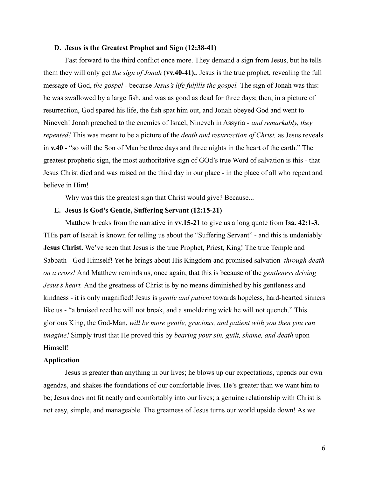#### **D. Jesus is the Greatest Prophet and Sign (12:38-41)**

Fast forward to the third conflict once more. They demand a sign from Jesus, but he tells them they will only get *the sign of Jonah* (**vv.40-41).***.* Jesus is the true prophet, revealing the full message of God, *the gospel -* because *Jesus's life fulfills the gospel.* The sign of Jonah was this: he was swallowed by a large fish, and was as good as dead for three days; then, in a picture of resurrection, God spared his life, the fish spat him out, and Jonah obeyed God and went to Nineveh! Jonah preached to the enemies of Israel, Nineveh in Assyria - *and remarkably, they repented!* This was meant to be a picture of the *death and resurrection of Christ,* as Jesus reveals in **v.40 -** "so will the Son of Man be three days and three nights in the heart of the earth." The greatest prophetic sign, the most authoritative sign of GOd's true Word of salvation is this - that Jesus Christ died and was raised on the third day in our place - in the place of all who repent and believe in Him!

Why was this the greatest sign that Christ would give? Because...

# **E. Jesus is God's Gentle, Suffering Servant (12:15-21)**

Matthew breaks from the narrative in **vv.15-21** to give us a long quote from **Isa. 42:1-3.** THis part of Isaiah is known for telling us about the "Suffering Servant" - and this is undeniably **Jesus Christ.** We've seen that Jesus is the true Prophet, Priest, King! The true Temple and Sabbath - God Himself! Yet he brings about His Kingdom and promised salvation *through death on a cross!* And Matthew reminds us, once again, that this is because of the *gentleness driving Jesus's heart.* And the greatness of Christ is by no means diminished by his gentleness and kindness - it is only magnified! Jesus is *gentle and patient* towards hopeless, hard-hearted sinners like us - "a bruised reed he will not break, and a smoldering wick he will not quench." This glorious King, the God-Man, *will be more gentle, gracious, and patient with you then you can imagine!* Simply trust that He proved this by *bearing your sin, guilt, shame, and death* upon Himself!

## **Application**

Jesus is greater than anything in our lives; he blows up our expectations, upends our own agendas, and shakes the foundations of our comfortable lives. He's greater than we want him to be; Jesus does not fit neatly and comfortably into our lives; a genuine relationship with Christ is not easy, simple, and manageable. The greatness of Jesus turns our world upside down! As we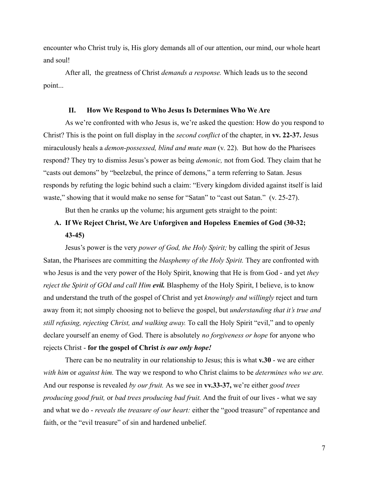encounter who Christ truly is, His glory demands all of our attention, our mind, our whole heart and soul!

After all, the greatness of Christ *demands a response.* Which leads us to the second point...

## **II. How We Respond to Who Jesus Is Determines Who We Are**

As we're confronted with who Jesus is, we're asked the question: How do you respond to Christ? This is the point on full display in the *second conflict* of the chapter, in **vv. 22-37.** Jesus miraculously heals a *demon-possessed, blind and mute man* (v. 22). But how do the Pharisees respond? They try to dismiss Jesus's power as being *demonic,* not from God. They claim that he "casts out demons" by "beelzebul, the prince of demons," a term referring to Satan. Jesus responds by refuting the logic behind such a claim: "Every kingdom divided against itself is laid waste," showing that it would make no sense for "Satan" to "cast out Satan." (v. 25-27).

But then he cranks up the volume; his argument gets straight to the point:

# **A. If We Reject Christ, We Are Unforgiven and Hopeless Enemies of God (30-32; 43-45)**

Jesus's power is the very *power of God, the Holy Spirit;* by calling the spirit of Jesus Satan, the Pharisees are committing the *blasphemy of the Holy Spirit.* They are confronted with who Jesus is and the very power of the Holy Spirit, knowing that He is from God - and yet *they reject the Spirit of GOd and call Him evil.* Blasphemy of the Holy Spirit, I believe, is to know and understand the truth of the gospel of Christ and yet *knowingly and willingly* reject and turn away from it; not simply choosing not to believe the gospel, but *understanding that it's true and still refusing, rejecting Christ, and walking away.* To call the Holy Spirit "evil," and to openly declare yourself an enemy of God. There is absolutely *no forgiveness or hope* for anyone who rejects Christ - **for the gospel of Christ** *is our only hope!*

There can be no neutrality in our relationship to Jesus; this is what **v.30** - we are either *with him* or *against him.* The way we respond to who Christ claims to be *determines who we are.* And our response is revealed *by our fruit.* As we see in **vv.33-37,** we're either *good trees producing good fruit,* or *bad trees producing bad fruit.* And the fruit of our lives - what we say and what we do - *reveals the treasure of our heart:* either the "good treasure" of repentance and faith, or the "evil treasure" of sin and hardened unbelief.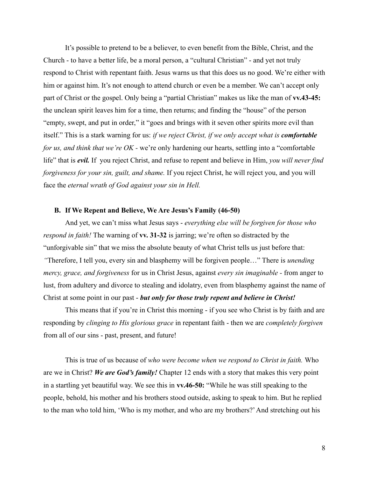It's possible to pretend to be a believer, to even benefit from the Bible, Christ, and the Church - to have a better life, be a moral person, a "cultural Christian" - and yet not truly respond to Christ with repentant faith. Jesus warns us that this does us no good. We're either with him or against him. It's not enough to attend church or even be a member. We can't accept only part of Christ or the gospel. Only being a "partial Christian" makes us like the man of **vv.43-45:** the unclean spirit leaves him for a time, then returns; and finding the "house" of the person "empty, swept, and put in order," it "goes and brings with it seven other spirits more evil than itself." This is a stark warning for us: *if we reject Christ, if we only accept what is comfortable for us, and think that we're OK -* we're only hardening our hearts, settling into a "comfortable life" that is *evil.* If you reject Christ, and refuse to repent and believe in Him, *you will never find forgiveness for your sin, guilt, and shame.* If you reject Christ, he will reject you, and you will face the *eternal wrath of God against your sin in Hell.*

# **B. If We Repent and Believe, We Are Jesus's Family (46-50)**

And yet, we can't miss what Jesus says - *everything else will be forgiven for those who respond in faith!* The warning of **vv. 31-32** is jarring; we're often so distracted by the "unforgivable sin" that we miss the absolute beauty of what Christ tells us just before that: *"*Therefore, I tell you, every sin and blasphemy will be forgiven people…" There is *unending mercy, grace, and forgiveness* for us in Christ Jesus, against *every sin imaginable -* from anger to lust, from adultery and divorce to stealing and idolatry, even from blasphemy against the name of Christ at some point in our past - *but only for those truly repent and believe in Christ!*

This means that if you're in Christ this morning - if you see who Christ is by faith and are responding by *clinging to His glorious grace* in repentant faith - then we are *completely forgiven* from all of our sins - past, present, and future!

This is true of us because of *who were become when we respond to Christ in faith.* Who are we in Christ? *We are God's family!* Chapter 12 ends with a story that makes this very point in a startling yet beautiful way. We see this in **vv.46-50:** "While he was still speaking to the people, behold, his mother and his brothers stood outside, asking to speak to him. But he replied to the man who told him, 'Who is my mother, and who are my brothers?'And stretching out his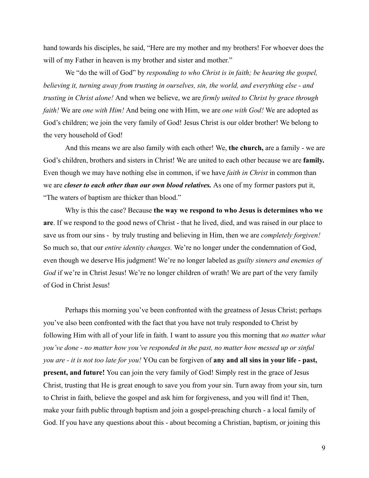hand towards his disciples, he said, "Here are my mother and my brothers! For whoever does the will of my Father in heaven is my brother and sister and mother."

We "do the will of God" by *responding to who Christ is in faith; be hearing the gospel, believing it, turning away from trusting in ourselves, sin, the world, and everything else - and trusting in Christ alone!* And when we believe, we are *firmly united to Christ by grace through faith!* We are *one with Him!* And being one with Him, we are *one with God!* We are adopted as God's children; we join the very family of God! Jesus Christ is our older brother! We belong to the very household of God!

And this means we are also family with each other! We, **the church,** are a family - we are God's children, brothers and sisters in Christ! We are united to each other because we are **family.** Even though we may have nothing else in common, if we have *faith in Christ* in common than we are *closer to each other than our own blood relatives.* As one of my former pastors put it, "The waters of baptism are thicker than blood."

Why is this the case? Because **the way we respond to who Jesus is determines who we are**. If we respond to the good news of Christ - that he lived, died, and was raised in our place to save us from our sins - by truly trusting and believing in Him, then we are *completely forgiven!* So much so, that our *entire identity changes.* We're no longer under the condemnation of God, even though we deserve His judgment! We're no longer labeled as *guilty sinners and enemies of God* if we're in Christ Jesus! We're no longer children of wrath! We are part of the very family of God in Christ Jesus!

Perhaps this morning you've been confronted with the greatness of Jesus Christ; perhaps you've also been confronted with the fact that you have not truly responded to Christ by following Him with all of your life in faith. I want to assure you this morning that *no matter what you've done - no matter how you've responded in the past, no matter how messed up or sinful you are - it is not too late for you!* YOu can be forgiven of **any and all sins in your life - past, present, and future!** You can join the very family of God! Simply rest in the grace of Jesus Christ, trusting that He is great enough to save you from your sin. Turn away from your sin, turn to Christ in faith, believe the gospel and ask him for forgiveness, and you will find it! Then, make your faith public through baptism and join a gospel-preaching church - a local family of God. If you have any questions about this - about becoming a Christian, baptism, or joining this